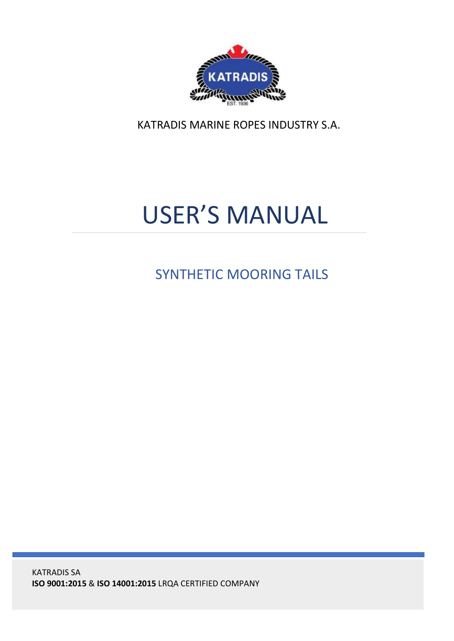

KATRADIS MARINE ROPES INDUSTRY S.A.

# USER'S MANUAL

SYNTHETIC MOORING TAILS

KATRADIS SA **ISO 9001:2015** & **ISO 14001:2015** LRQA CERTIFIED COMPANY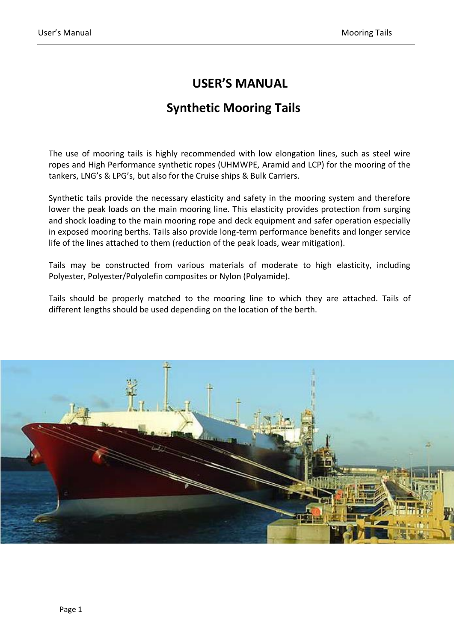## **USER'S MANUAL**

# **Synthetic Mooring Tails**

The use of mooring tails is highly recommended with low elongation lines, such as steel wire ropes and High Performance synthetic ropes (UHMWPE, Aramid and LCP) for the mooring of the tankers, LNG's & LPG's, but also for the Cruise ships & Bulk Carriers.

Synthetic tails provide the necessary elasticity and safety in the mooring system and therefore lower the peak loads on the main mooring line. This elasticity provides protection from surging and shock loading to the main mooring rope and deck equipment and safer operation especially in exposed mooring berths. Tails also provide long-term performance benefits and longer service life of the lines attached to them (reduction of the peak loads, wear mitigation).

Tails may be constructed from various materials of moderate to high elasticity, including Polyester, Polyester/Polyolefin composites or Nylon (Polyamide).

Tails should be properly matched to the mooring line to which they are attached. Tails of different lengths should be used depending on the location of the berth.

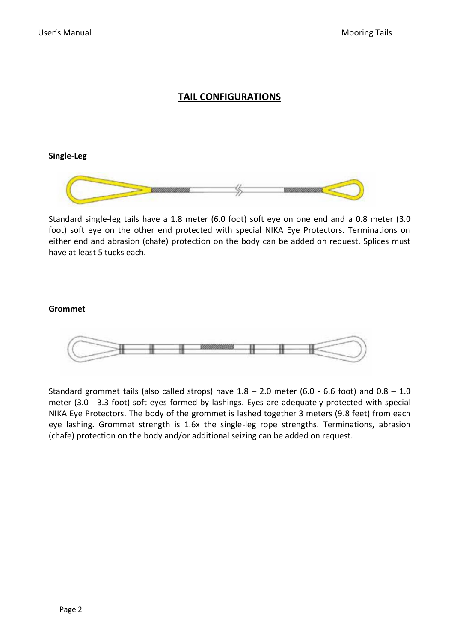## **TAIL CONFIGURATIONS**

#### **Single-Leg**



Standard single-leg tails have a 1.8 meter (6.0 foot) soft eye on one end and a 0.8 meter (3.0 foot) soft eye on the other end protected with special NIKA Eye Protectors. Terminations on either end and abrasion (chafe) protection on the body can be added on request. Splices must have at least 5 tucks each.

#### **Grommet**



Standard grommet tails (also called strops) have  $1.8 - 2.0$  meter (6.0 - 6.6 foot) and  $0.8 - 1.0$ meter (3.0 - 3.3 foot) soft eyes formed by lashings. Eyes are adequately protected with special NIKA Eye Protectors. The body of the grommet is lashed together 3 meters (9.8 feet) from each eye lashing. Grommet strength is 1.6x the single-leg rope strengths. Terminations, abrasion (chafe) protection on the body and/or additional seizing can be added on request.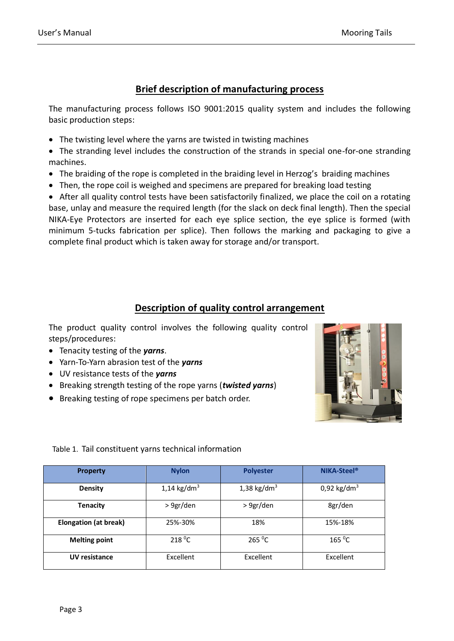## **Brief description of manufacturing process**

The manufacturing process follows ISO 9001:2015 quality system and includes the following basic production steps:

- The twisting level where the yarns are twisted in twisting machines
- The stranding level includes the construction of the strands in special one-for-one stranding machines.
- The braiding of the rope is completed in the braiding level in Herzog's braiding machines
- Then, the rope coil is weighed and specimens are prepared for breaking load testing

• After all quality control tests have been satisfactorily finalized, we place the coil on a rotating base, unlay and measure the required length (for the slack on deck final length). Then the special NIKA-Eye Protectors are inserted for each eye splice section, the eye splice is formed (with minimum 5-tucks fabrication per splice). Then follows the marking and packaging to give a complete final product which is taken away for storage and/or transport.

## **Description of quality control arrangement**

The product quality control involves the following quality control steps/procedures:

- Tenacity testing of the *yarns*.
- Yarn-To-Yarn abrasion test of the *yarns*
- UV resistance tests of the *yarns*
- Breaking strength testing of the rope yarns (*twisted yarns*)
- Breaking testing of rope specimens per batch order.



#### Table 1. Tail constituent yarns technical information

| <b>Property</b>              | <b>Nylon</b>   | <b>Polyester</b> | NIKA-Steel <sup>®</sup> |
|------------------------------|----------------|------------------|-------------------------|
| <b>Density</b>               | 1,14 kg/d $m3$ | 1,38 kg/d $m3$   | 0,92 kg/dm <sup>3</sup> |
| Tenacity                     | > 9gr/den      | > 9gr/den        | 8gr/den                 |
| <b>Elongation (at break)</b> | 25%-30%        | 18%              | 15%-18%                 |
| <b>Melting point</b>         | 218 °C         | $265\text{ °C}$  | 165 °C                  |
| <b>UV resistance</b>         | Excellent      | Excellent        | Excellent               |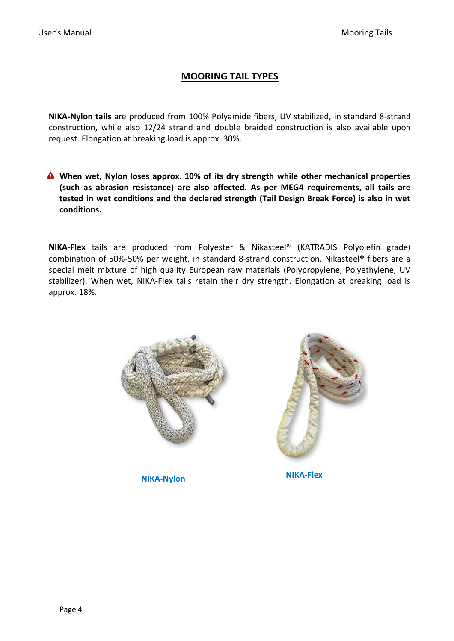## **MOORING TAIL TYPES**

**NIKA-Nylon tails** are produced from 100% Polyamide fibers, UV stabilized, in standard 8-strand construction, while also 12/24 strand and double braided construction is also available upon request. Elongation at breaking load is approx. 30%.

**When wet, Nylon loses approx. 10% of its dry strength while other mechanical properties (such as abrasion resistance) are also affected. As per MEG4 requirements, all tails are tested in wet conditions and the declared strength (Tail Design Break Force) is also in wet conditions.** 

**NIKA-Flex** tails are produced from Polyester & Nikasteel® (KATRADIS Polyolefin grade) combination of 50%-50% per weight, in standard 8-strand construction. Nikasteel® fibers are a special melt mixture of high quality European raw materials (Polypropylene, Polyethylene, UV stabilizer). When wet, NIKA-Flex tails retain their dry strength. Elongation at breaking load is approx. 18%.



**NIKA-Nylon NIKA-Flex**

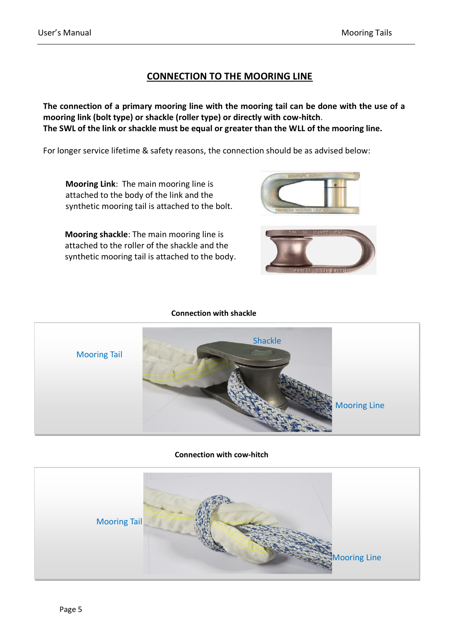## **CONNECTION TO THE MOORING LINE**

**The connection of a primary mooring line with the mooring tail can be done with the use of a mooring link (bolt type) or shackle (roller type) or directly with cow-hitch**. **The SWL of the link or shackle must be equal or greater than the WLL of the mooring line.** 

For longer service lifetime & safety reasons, the connection should be as advised below:

**Mooring Link**: The main mooring line is attached to the body of the link and the synthetic mooring tail is attached to the bolt.

**Mooring shackle**: The main mooring line is attached to the roller of the shackle and the synthetic mooring tail is attached to the body.





#### **Connection with shackle**



#### **Connection with cow-hitch**

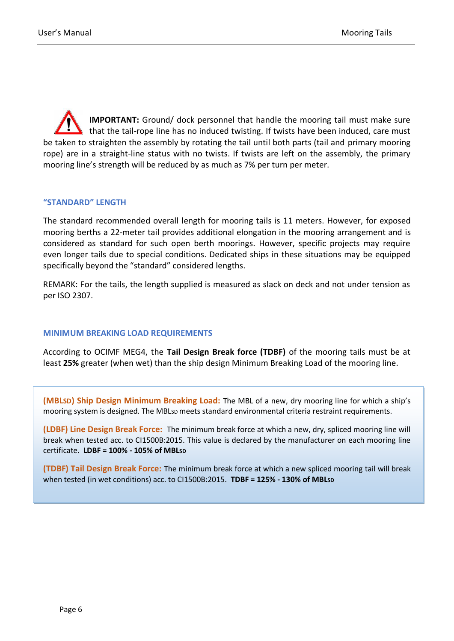**IMPORTANT:** Ground/ dock personnel that handle the mooring tail must make sure that the tail-rope line has no induced twisting. If twists have been induced, care must be taken to straighten the assembly by rotating the tail until both parts (tail and primary mooring rope) are in a straight-line status with no twists. If twists are left on the assembly, the primary mooring line's strength will be reduced by as much as 7% per turn per meter.

#### **"STANDARD" LENGTH**

The standard recommended overall length for mooring tails is 11 meters. However, for exposed mooring berths a 22-meter tail provides additional elongation in the mooring arrangement and is considered as standard for such open berth moorings. However, specific projects may require even longer tails due to special conditions. Dedicated ships in these situations may be equipped specifically beyond the "standard" considered lengths.

REMARK: For the tails, the length supplied is measured as slack on deck and not under tension as per ISO 2307.

#### **MINIMUM BREAKING LOAD REQUIREMENTS**

According to OCIMF MEG4, the **Tail Design Break force (TDBF)** of the mooring tails must be at least **25%** greater (when wet) than the ship design Minimum Breaking Load of the mooring line.

**(MBLSD) Ship Design Minimum Breaking Load:** The MBL of a new, dry mooring line for which a ship's mooring system is designed. The MBLsD meets standard environmental criteria restraint requirements.

**(LDBF) Line Design Break Force:** The minimum break force at which a new, dry, spliced mooring line will break when tested acc. to CI1500B:2015. This value is declared by the manufacturer on each mooring line certificate. **LDBF = 100% - 105% of MBLSD**

**(TDBF) Tail Design Break Force:** The minimum break force at which a new spliced mooring tail will break when tested (in wet conditions) acc. to CI1500B:2015. **TDBF = 125% - 130% of MBLSD**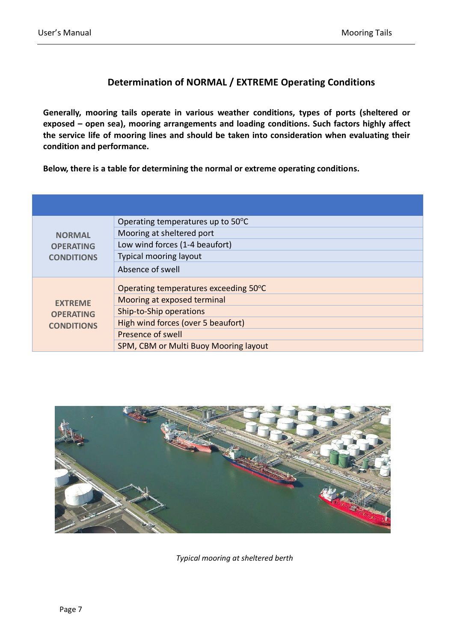## **Determination of NORMAL / EXTREME Operating Conditions**

**Generally, mooring tails operate in various weather conditions, types of ports (sheltered or exposed – open sea), mooring arrangements and loading conditions. Such factors highly affect the service life of mooring lines and should be taken into consideration when evaluating their condition and performance.** 

**Below, there is a table for determining the normal or extreme operating conditions.** 

| <b>NORMAL</b><br><b>OPERATING</b><br><b>CONDITIONS</b>  | Operating temperatures up to 50°C     |
|---------------------------------------------------------|---------------------------------------|
|                                                         | Mooring at sheltered port             |
|                                                         | Low wind forces (1-4 beaufort)        |
|                                                         | <b>Typical mooring layout</b>         |
|                                                         | Absence of swell                      |
| <b>FXTRFMF</b><br><b>OPERATING</b><br><b>CONDITIONS</b> | Operating temperatures exceeding 50°C |
|                                                         | Mooring at exposed terminal           |
|                                                         | Ship-to-Ship operations               |
|                                                         | High wind forces (over 5 beaufort)    |
|                                                         | Presence of swell                     |
|                                                         | SPM, CBM or Multi Buoy Mooring layout |



*Typical mooring at sheltered berth*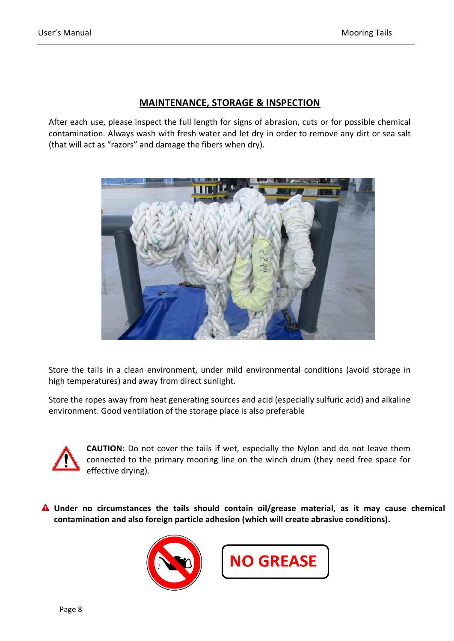## **MAINTENANCE, STORAGE & INSPECTION**

After each use, please inspect the full length for signs of abrasion, cuts or for possible chemical contamination. Always wash with fresh water and let dry in order to remove any dirt or sea salt (that will act as "razors" and damage the fibers when dry).



Store the tails in a clean environment, under mild environmental conditions (avoid storage in high temperatures) and away from direct sunlight.

Store the ropes away from heat generating sources and acid (especially sulfuric acid) and alkaline environment. Good ventilation of the storage place is also preferable



**CAUTION:** Do not cover the tails if wet, especially the Nylon and do not leave them connected to the primary mooring line on the winch drum (they need free space for effective drying).

**Under no circumstances the tails should contain oil/grease material, as it may cause chemical contamination and also foreign particle adhesion (which will create abrasive conditions).** 



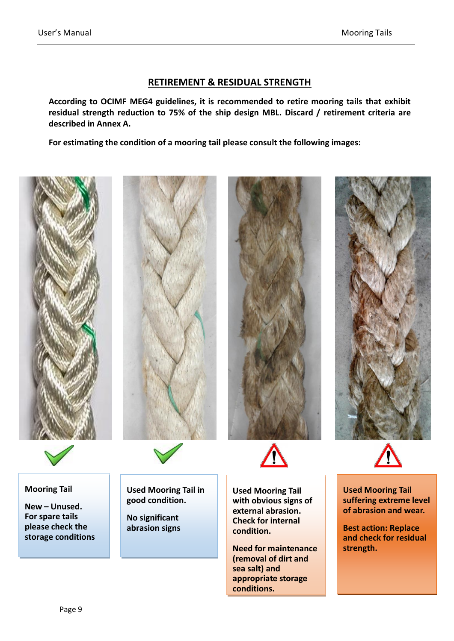### **RETIREMENT & RESIDUAL STRENGTH**

**According to OCIMF MEG4 guidelines, it is recommended to retire mooring tails that exhibit residual strength reduction to 75% of the ship design MBL. Discard / retirement criteria are described in Annex A.** 

**For estimating the condition of a mooring tail please consult the following images:** 





#### **Mooring Tail**

**New – Unused. For spare tails please check the storage conditions** 





**condition.** 

**sea salt) and** 

**conditions.** 

**Need for maintenance (removal of dirt and** 

**appropriate storage** 





**Used Mooring Tail with obvious signs of external abrasion. Check for internal Used Mooring Tail suffering extreme level of abrasion and wear.** 

**Best action: Replace and check for residual strength.** 

Ī

**Used Mooring Tail in good condition.** 

**No significant abrasion signs** 

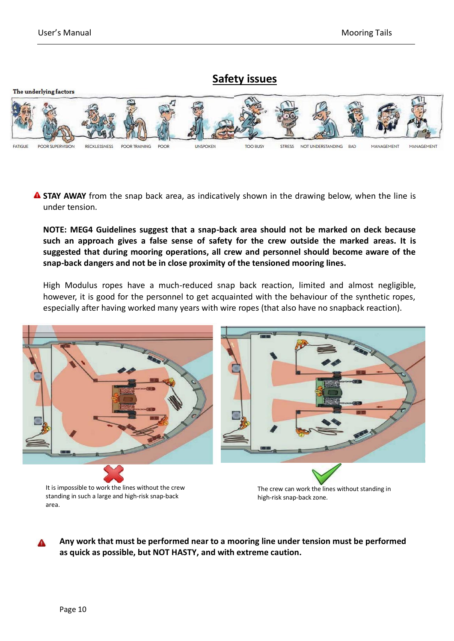## **Safety issues**



**A STAY AWAY** from the snap back area, as indicatively shown in the drawing below, when the line is under tension.

**NOTE: MEG4 Guidelines suggest that a snap-back area should not be marked on deck because such an approach gives a false sense of safety for the crew outside the marked areas. It is suggested that during mooring operations, all crew and personnel should become aware of the snap-back dangers and not be in close proximity of the tensioned mooring lines.**

High Modulus ropes have a much-reduced snap back reaction, limited and almost negligible, however, it is good for the personnel to get acquainted with the behaviour of the synthetic ropes, especially after having worked many years with wire ropes (that also have no snapback reaction).



**Any work that must be performed near to a mooring line under tension must be performed as quick as possible, but NOT HASTY, and with extreme caution.**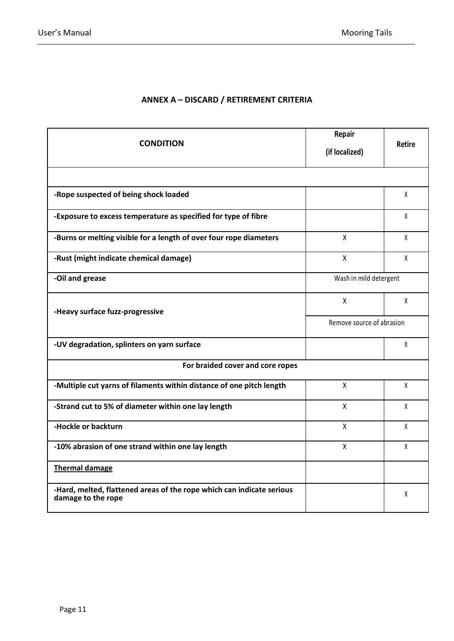## **ANNEX A – DISCARD / RETIREMENT CRITERIA**

|                                                                                             | Repair                    |               |  |  |  |
|---------------------------------------------------------------------------------------------|---------------------------|---------------|--|--|--|
| <b>CONDITION</b>                                                                            | (if localized)            | <b>Retire</b> |  |  |  |
|                                                                                             |                           |               |  |  |  |
| -Rope suspected of being shock loaded                                                       |                           | X             |  |  |  |
| -Exposure to excess temperature as specified for type of fibre                              |                           | X             |  |  |  |
| -Burns or melting visible for a length of over four rope diameters                          | $\mathsf{X}$              | X             |  |  |  |
| -Rust (might indicate chemical damage)                                                      | X                         | X             |  |  |  |
| -Oil and grease                                                                             | Wash in mild detergent    |               |  |  |  |
| -Heavy surface fuzz-progressive                                                             | X                         | X             |  |  |  |
|                                                                                             | Remove source of abrasion |               |  |  |  |
| -UV degradation, splinters on yarn surface                                                  |                           | X             |  |  |  |
| For braided cover and core ropes                                                            |                           |               |  |  |  |
| -Multiple cut yarns of filaments within distance of one pitch length                        | X                         | X             |  |  |  |
| -Strand cut to 5% of diameter within one lay length                                         | X                         | χ             |  |  |  |
| -Hockle or backturn                                                                         | X                         | X             |  |  |  |
| -10% abrasion of one strand within one lay length                                           | X                         | X             |  |  |  |
| <b>Thermal damage</b>                                                                       |                           |               |  |  |  |
| -Hard, melted, flattened areas of the rope which can indicate serious<br>damage to the rope |                           | X             |  |  |  |